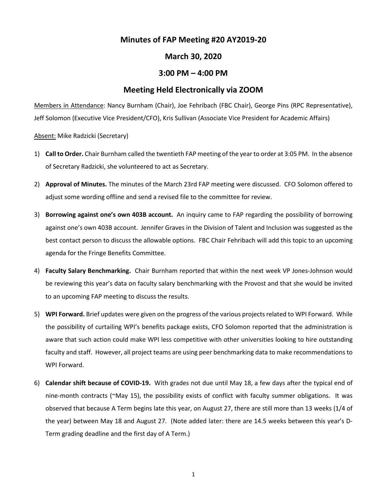## **Minutes of FAP Meeting #20 AY2019-20**

## **March 30, 2020**

## **3:00 PM – 4:00 PM**

## **Meeting Held Electronically via ZOOM**

Members in Attendance: Nancy Burnham (Chair), Joe Fehribach (FBC Chair), George Pins (RPC Representative), Jeff Solomon (Executive Vice President/CFO), Kris Sullivan (Associate Vice President for Academic Affairs)

Absent: Mike Radzicki (Secretary)

- 1) **Call to Order.** Chair Burnham called the twentieth FAP meeting of the yearto order at 3:05 PM. In the absence of Secretary Radzicki, she volunteered to act as Secretary.
- 2) **Approval of Minutes.** The minutes of the March 23rd FAP meeting were discussed. CFO Solomon offered to adjust some wording offline and send a revised file to the committee for review.
- 3) **Borrowing against one's own 403B account.** An inquiry came to FAP regarding the possibility of borrowing against one's own 403B account. Jennifer Graves in the Division of Talent and Inclusion was suggested as the best contact person to discuss the allowable options. FBC Chair Fehribach will add this topic to an upcoming agenda for the Fringe Benefits Committee.
- 4) **Faculty Salary Benchmarking.** Chair Burnham reported that within the next week VP Jones-Johnson would be reviewing this year's data on faculty salary benchmarking with the Provost and that she would be invited to an upcoming FAP meeting to discuss the results.
- 5) **WPI Forward.** Brief updates were given on the progress of the various projects related to WPI Forward. While the possibility of curtailing WPI's benefits package exists, CFO Solomon reported that the administration is aware that such action could make WPI less competitive with other universities looking to hire outstanding faculty and staff. However, all project teams are using peer benchmarking data to make recommendations to WPI Forward.
- 6) **Calendar shift because of COVID-19.** With grades not due until May 18, a few days after the typical end of nine-month contracts (~May 15), the possibility exists of conflict with faculty summer obligations. It was observed that because A Term begins late this year, on August 27, there are still more than 13 weeks (1/4 of the year) between May 18 and August 27. (Note added later: there are 14.5 weeks between this year's D-Term grading deadline and the first day of A Term.)